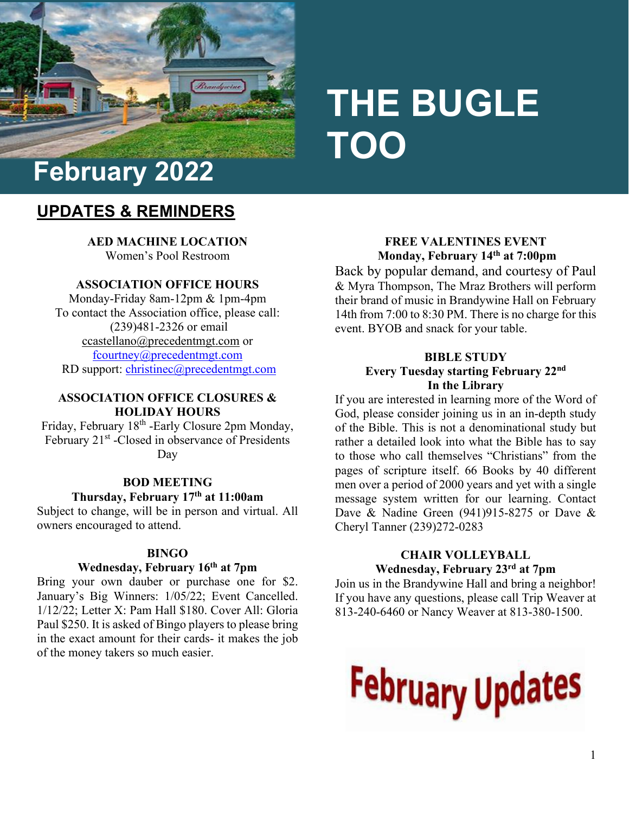

# **THE BUGLE TOO**

# **UPDATES & REMINDERS**

**AED MACHINE LOCATION**  Women's Pool Restroom

# **ASSOCIATION OFFICE HOURS**

Monday-Friday 8am-12pm & 1pm-4pm To contact the Association office, please call: (239)481-2326 or email [ccastellano@precedentmgt.com](mailto:ccastellano@precedentmgt.com) or [fcourtney@precedentmgt.com](mailto:fcourtney@precedentmgt.com) RD support: [christinec@precedentmgt.com](mailto:christinec@precedentmgt.com)

#### **ASSOCIATION OFFICE CLOSURES & HOLIDAY HOURS**

Friday, February 18<sup>th</sup> -Early Closure 2pm Monday, February 21<sup>st</sup> -Closed in observance of Presidents Day

#### **BOD MEETING**

#### **Thursday, February 17th at 11:00am**

Subject to change, will be in person and virtual. All owners encouraged to attend.

#### **BINGO**

#### **Wednesday, February 16th at 7pm**

Bring your own dauber or purchase one for \$2. January's Big Winners: 1/05/22; Event Cancelled. 1/12/22; Letter X: Pam Hall \$180. Cover All: Gloria Paul \$250. It is asked of Bingo players to please bring in the exact amount for their cards- it makes the job of the money takers so much easier.

#### **FREE VALENTINES EVENT Monday, February 14th at 7:00pm**

Back by popular demand, and courtesy of Paul & Myra Thompson, The Mraz Brothers will perform their brand of music in Brandywine Hall on February 14th from 7:00 to 8:30 PM. There is no charge for this event. BYOB and snack for your table.

#### **BIBLE STUDY Every Tuesday starting February 22nd In the Library**

If you are interested in learning more of the Word of God, please consider joining us in an in-depth study of the Bible. This is not a denominational study but rather a detailed look into what the Bible has to say to those who call themselves "Christians" from the pages of scripture itself. 66 Books by 40 different men over a period of 2000 years and yet with a single message system written for our learning. Contact Dave & Nadine Green (941)915-8275 or Dave & Cheryl Tanner (239)272-0283

#### **CHAIR VOLLEYBALL Wednesday, February 23rd at 7pm**

Join us in the Brandywine Hall and bring a neighbor! If you have any questions, please call Trip Weaver at 813-240-6460 or Nancy Weaver at 813-380-1500.